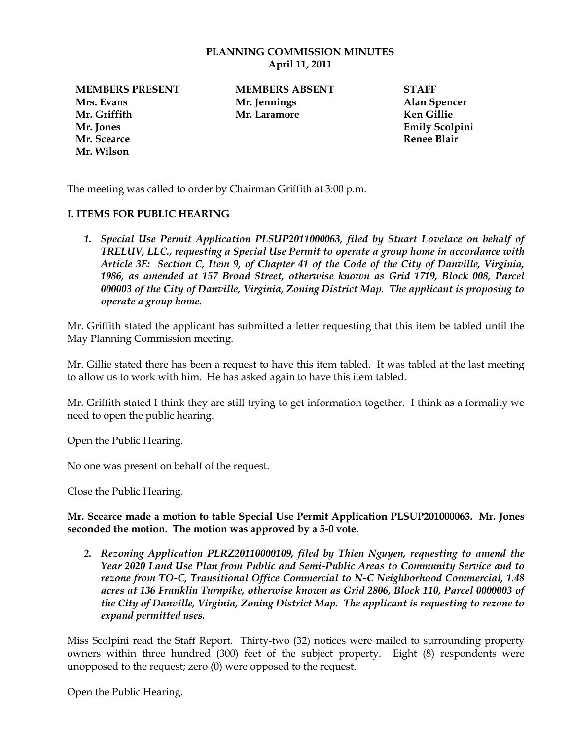## **PLANNING COMMISSION MINUTES April 11, 2011**

**Mrs. Evans Mr. Jennings Alan Spencer Mr. Griffith Mr. Laramore Ken Gillie Mr. Jones Emily Scolpini Mr. Scearce Renee Blair Mr. Wilson**

**MEMBERS PRESENT MEMBERS ABSENT STAFF**

The meeting was called to order by Chairman Griffith at 3:00 p.m.

## **I. ITEMS FOR PUBLIC HEARING**

*1. Special Use Permit Application PLSUP2011000063, filed by Stuart Lovelace on behalf of TRELUV, LLC., requesting a Special Use Permit to operate a group home in accordance with Article 3E: Section C, Item 9, of Chapter 41 of the Code of the City of Danville, Virginia, 1986, as amended at 157 Broad Street, otherwise known as Grid 1719, Block 008, Parcel 000003 of the City of Danville, Virginia, Zoning District Map. The applicant is proposing to operate a group home.*

Mr. Griffith stated the applicant has submitted a letter requesting that this item be tabled until the May Planning Commission meeting.

Mr. Gillie stated there has been a request to have this item tabled. It was tabled at the last meeting to allow us to work with him. He has asked again to have this item tabled.

Mr. Griffith stated I think they are still trying to get information together. I think as a formality we need to open the public hearing.

Open the Public Hearing.

No one was present on behalf of the request.

Close the Public Hearing.

**Mr. Scearce made a motion to table Special Use Permit Application PLSUP201000063. Mr. Jones seconded the motion. The motion was approved by a 5-0 vote.** 

*2. Rezoning Application PLRZ20110000109, filed by Thien Nguyen, requesting to amend the Year 2020 Land Use Plan from Public and Semi-Public Areas to Community Service and to rezone from TO-C, Transitional Office Commercial to N-C Neighborhood Commercial, 1.48 acres at 136 Franklin Turnpike, otherwise known as Grid 2806, Block 110, Parcel 0000003 of the City of Danville, Virginia, Zoning District Map. The applicant is requesting to rezone to expand permitted uses.*

Miss Scolpini read the Staff Report. Thirty-two (32) notices were mailed to surrounding property owners within three hundred (300) feet of the subject property. Eight (8) respondents were unopposed to the request; zero (0) were opposed to the request.

Open the Public Hearing.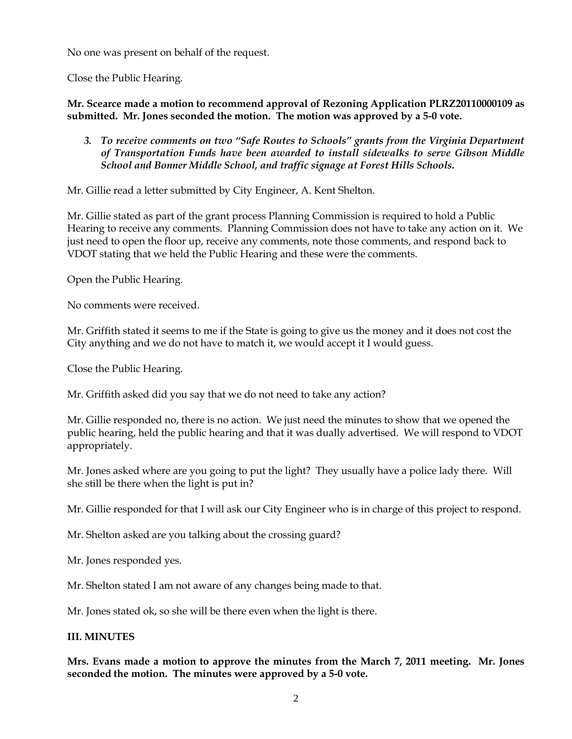No one was present on behalf of the request.

Close the Public Hearing.

**Mr. Scearce made a motion to recommend approval of Rezoning Application PLRZ20110000109 as submitted. Mr. Jones seconded the motion. The motion was approved by a 5-0 vote.** 

*3. To receive comments on two "Safe Routes to Schools" grants from the Virginia Department of Transportation Funds have been awarded to install sidewalks to serve Gibson Middle School and Bonner Middle School, and traffic signage at Forest Hills Schools.*

Mr. Gillie read a letter submitted by City Engineer, A. Kent Shelton.

Mr. Gillie stated as part of the grant process Planning Commission is required to hold a Public Hearing to receive any comments. Planning Commission does not have to take any action on it. We just need to open the floor up, receive any comments, note those comments, and respond back to VDOT stating that we held the Public Hearing and these were the comments.

Open the Public Hearing.

No comments were received.

Mr. Griffith stated it seems to me if the State is going to give us the money and it does not cost the City anything and we do not have to match it, we would accept it I would guess.

Close the Public Hearing.

Mr. Griffith asked did you say that we do not need to take any action?

Mr. Gillie responded no, there is no action. We just need the minutes to show that we opened the public hearing, held the public hearing and that it was dually advertised. We will respond to VDOT appropriately.

Mr. Jones asked where are you going to put the light? They usually have a police lady there. Will she still be there when the light is put in?

Mr. Gillie responded for that I will ask our City Engineer who is in charge of this project to respond.

Mr. Shelton asked are you talking about the crossing guard?

Mr. Jones responded yes.

Mr. Shelton stated I am not aware of any changes being made to that.

Mr. Jones stated ok, so she will be there even when the light is there.

## **III. MINUTES**

**Mrs. Evans made a motion to approve the minutes from the March 7, 2011 meeting. Mr. Jones seconded the motion. The minutes were approved by a 5-0 vote.**